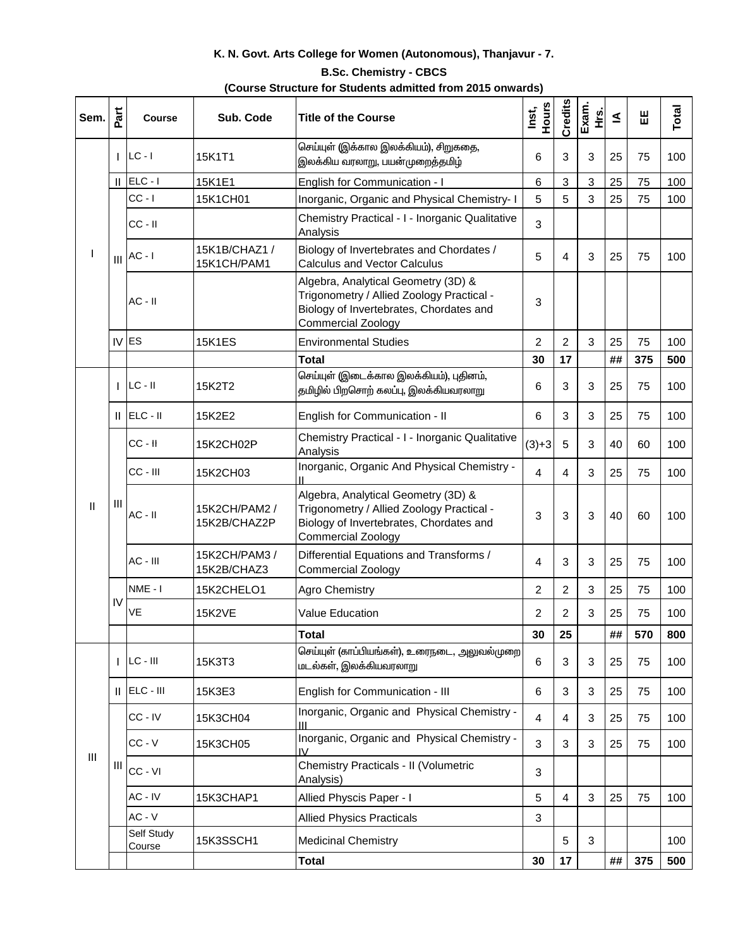## **K. N. Govt. Arts College for Women (Autonomous), Thanjavur - 7.**

## **B.Sc. Chemistry - CBCS**

| (Course Structure for Students admitted from 2015 onwards) |  |
|------------------------------------------------------------|--|
|------------------------------------------------------------|--|

| Sem. | Part | <b>Course</b>        | Sub. Code                     | <b>Title of the Course</b>                                                                                                                               | <b>Hours</b><br>Inst, | Credits        | Exam.<br>Ψ.    | ₹  | 出   | Total |
|------|------|----------------------|-------------------------------|----------------------------------------------------------------------------------------------------------------------------------------------------------|-----------------------|----------------|----------------|----|-----|-------|
|      |      | $LC - I$             | 15K1T1                        | செய்யுள் (இக்கால இலக்கியம்), சிறுகதை,<br>இலக்கிய வரலாறு, பயன்முறைத்தமிழ்                                                                                 | 6                     | 3              | 3              | 25 | 75  | 100   |
|      |      | $  $ ELC - $ $       | 15K1E1                        | English for Communication - I                                                                                                                            | 6                     | 3              | 3              | 25 | 75  | 100   |
|      |      | $CC - I$             | 15K1CH01                      | Inorganic, Organic and Physical Chemistry- I                                                                                                             | 5                     | 5              | 3              | 25 | 75  | 100   |
|      |      | $CC - II$            |                               | Chemistry Practical - I - Inorganic Qualitative<br>Analysis                                                                                              | 3                     |                |                |    |     |       |
|      |      | $III$ $AC - I$       | 15K1B/CHAZ1 /<br>15K1CH/PAM1  | Biology of Invertebrates and Chordates /<br><b>Calculus and Vector Calculus</b>                                                                          | 5                     | 4              | 3              | 25 | 75  | 100   |
|      |      | $AC - II$            |                               | Algebra, Analytical Geometry (3D) &<br>Trigonometry / Allied Zoology Practical -<br>Biology of Invertebrates, Chordates and<br><b>Commercial Zoology</b> | 3                     |                |                |    |     |       |
|      |      | $IV$ ES              | <b>15K1ES</b>                 | <b>Environmental Studies</b>                                                                                                                             | 2                     | $\overline{c}$ | 3              | 25 | 75  | 100   |
|      |      |                      |                               | <b>Total</b>                                                                                                                                             | 30                    | 17             |                | ## | 375 | 500   |
|      |      | $ $ LC - II          | 15K2T2                        | செய்யுள் (இடைக்கால இலக்கியம்), புதினம்,<br>தமிழில் பிறசொற் கலப்பு, இலக்கியவரலாறு                                                                         | 6                     | $\mathfrak{B}$ | 3              | 25 | 75  | 100   |
|      |      | $  $ ELC - $  $      | 15K2E2                        | English for Communication - II                                                                                                                           | 6                     | $\mathfrak{B}$ | 3              | 25 | 75  | 100   |
|      |      | $CC - H$             | 15K2CH02P                     | Chemistry Practical - I - Inorganic Qualitative<br>Analysis                                                                                              | $(3)+3$               | 5              | 3              | 40 | 60  | 100   |
|      |      | CC - III             | 15K2CH03                      | Inorganic, Organic And Physical Chemistry -                                                                                                              | 4                     | 4              | 3              | 25 | 75  | 100   |
| Ш    | Ш    | $AC - II$            | 15K2CH/PAM2 /<br>15K2B/CHAZ2P | Algebra, Analytical Geometry (3D) &<br>Trigonometry / Allied Zoology Practical -<br>Biology of Invertebrates, Chordates and<br><b>Commercial Zoology</b> | 3                     | 3              | 3              | 40 | 60  | 100   |
|      |      | AC - III             | 15K2CH/PAM3 /<br>15K2B/CHAZ3  | Differential Equations and Transforms /<br><b>Commercial Zoology</b>                                                                                     | 4                     | 3              | 3              | 25 | 75  | 100   |
|      | IV   | NME - I              | 15K2CHELO1                    | <b>Agro Chemistry</b>                                                                                                                                    | 2                     | $\overline{2}$ | 3              | 25 | 75  | 100   |
|      |      | VE                   | <b>15K2VE</b>                 | <b>Value Education</b>                                                                                                                                   | 2                     | 2              | 3              | 25 | 75  | 100   |
|      |      |                      |                               | <b>Total</b>                                                                                                                                             | 30                    | 25             |                | ## | 570 | 800   |
|      |      | $ LC - III $         | 15K3T3                        | மடல்கள், இலக்கியவரலாறு                                                                                                                                   | 6                     | $\mathfrak{B}$ | $\mathfrak{B}$ | 25 | 75  | 100   |
|      |      | $  $ ELC - $  $      | 15K3E3                        | English for Communication - III                                                                                                                          | 6                     | $\mathfrak{B}$ | 3              | 25 | 75  | 100   |
|      | Ш    | CC - IV              | 15K3CH04                      | Inorganic, Organic and Physical Chemistry -<br>Ш                                                                                                         | 4                     | 4              | 3              | 25 | 75  | 100   |
| Ш    |      | $CC - V$             | 15K3CH05                      | Inorganic, Organic and Physical Chemistry -                                                                                                              | 3                     | $\mathfrak{B}$ | 3              | 25 | 75  | 100   |
|      |      | CC - VI              |                               | Chemistry Practicals - II (Volumetric<br>Analysis)                                                                                                       | 3                     |                |                |    |     |       |
|      |      | AC - IV              | 15K3CHAP1                     | Allied Physcis Paper - I                                                                                                                                 | 5                     | 4              | 3              | 25 | 75  | 100   |
|      |      | $AC - V$             |                               | <b>Allied Physics Practicals</b>                                                                                                                         | 3                     |                |                |    |     |       |
|      |      | Self Study<br>Course | 15K3SSCH1                     | <b>Medicinal Chemistry</b>                                                                                                                               |                       | $\overline{5}$ | 3              |    |     | 100   |
|      |      |                      |                               | <b>Total</b>                                                                                                                                             | 30                    | 17             |                | ## | 375 | 500   |